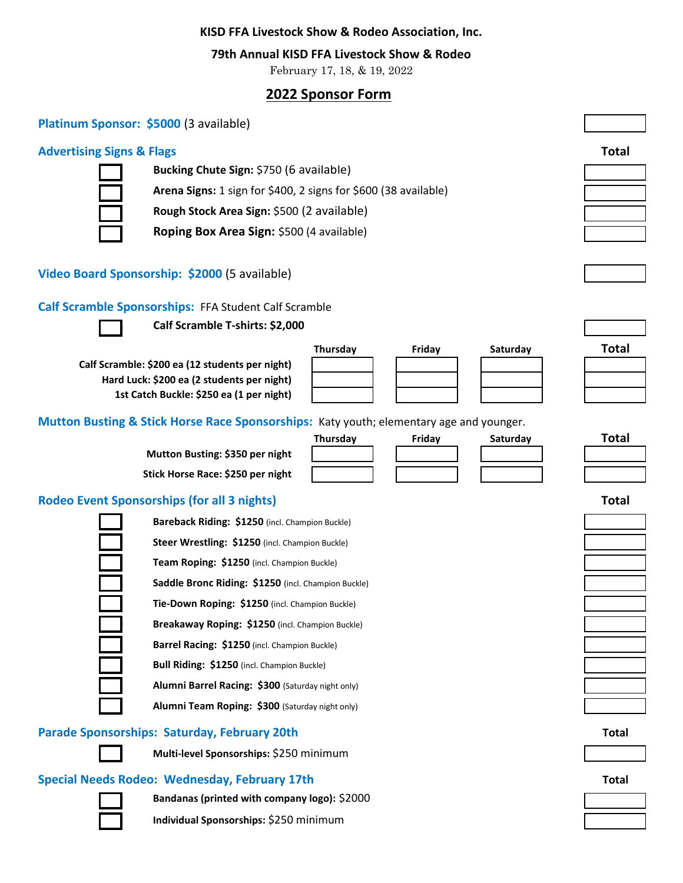#### **KISD FFA Livestock Show & Rodeo Association, Inc.**

#### **79th Annual KISD FFA Livestock Show & Rodeo**

February 17, 18, & 19, 2022

# **2022 Sponsor Form**

| Platinum Sponsor: \$5000 (3 available) |  |  |
|----------------------------------------|--|--|
|----------------------------------------|--|--|

### **Advertising Signs & Flags Total**



**Bucking Chute Sign:** \$750 (6 available) **Arena Signs:** 1 sign for \$400, 2 signs for \$600 (38 available) **Rough Stock Area Sign:** \$500 (2 available)

**Roping Box Area Sign:** \$500 (4 available)

### **Video Board Sponsorship: \$2000** (5 available)

#### **Calf Scramble Sponsorships:** FFA Student Calf Scramble



**Calf Scramble T-shirts: \$2,000** 

**Calf Scramble: \$200 ea (12 students per night) Hard Luck: \$200 ea (2 students per night) 1st Catch Buckle: \$250 ea (1 per night)**





| Saturday |  |
|----------|--|
|          |  |
|          |  |
|          |  |



**Mutton Busting & Stick Horse Race Sponsorships:** Katy youth; elementary age and younger.

**Mutton Busting: \$350 per night Stick Horse Race: \$250 per night**

| ırsday | Fri |
|--------|-----|
|        |     |
|        |     |
|        |     |

# **Thursday Friday Saturday Total**

# **Rodeo Event Sponsorships (for all 3 nights) Total**

**Bareback Riding: \$1250** (incl. Champion Buckle) **Steer Wrestling: \$1250** (incl. Champion Buckle) **Team Roping: \$1250** (incl. Champion Buckle) **Saddle Bronc Riding: \$1250** (incl. Champion Buckle) **Tie-Down Roping: \$1250** (incl. Champion Buckle) **Breakaway Roping: \$1250** (incl. Champion Buckle) **Barrel Racing: \$1250** (incl. Champion Buckle) **Bull Riding: \$1250** (incl. Champion Buckle) **Alumni Barrel Racing: \$300** (Saturday night only)

**Alumni Team Roping: \$300** (Saturday night only)

#### **Parade Sponsorships: Saturday, February 20th Total**



**Multi-level Sponsorships:** \$250 minimum

## **Special Needs Rodeo: Wednesday, February 17th Total**

**Bandanas (printed with company logo):** \$2000



**Individual Sponsorships:** \$250 minimum

| i otal |  |
|--------|--|
|        |  |
|        |  |
|        |  |
|        |  |